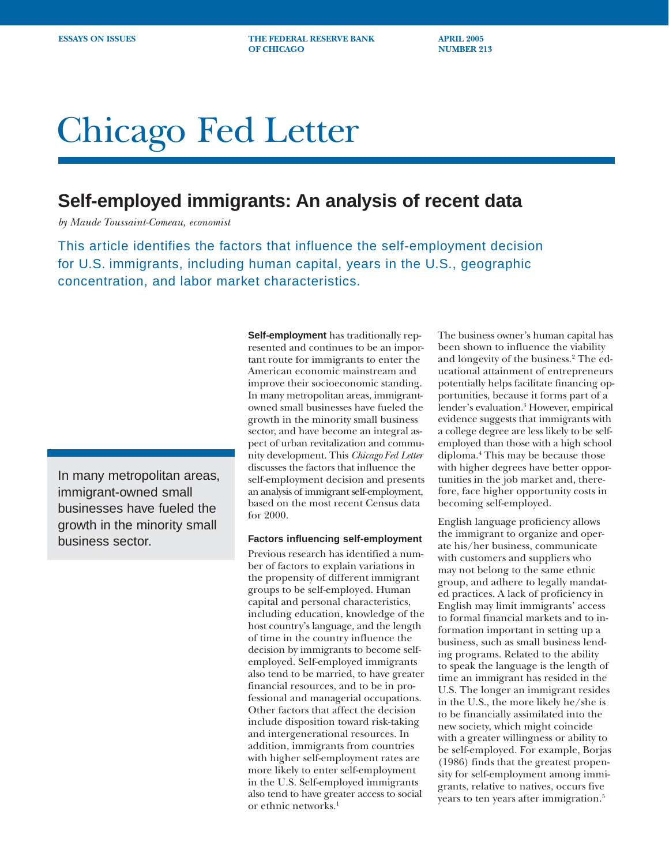**ESSAYS ON ISSUES THE FEDERAL RESERVE BANK APRIL 2005 OF CHICAGO NUMBER 213** 

# Chicago Fed Letter

## **Self-employed immigrants: An analysis of recent data**

*by Maude Toussaint-Comeau, economist*

This article identifies the factors that influence the self-employment decision for U.S. immigrants, including human capital, years in the U.S., geographic concentration, and labor market characteristics.

In many metropolitan areas, immigrant-owned small businesses have fueled the growth in the minority small business sector.

**Self-employment** has traditionally represented and continues to be an important route for immigrants to enter the American economic mainstream and improve their socioeconomic standing. In many metropolitan areas, immigrantowned small businesses have fueled the growth in the minority small business sector, and have become an integral aspect of urban revitalization and community development. This *Chicago Fed Letter* discusses the factors that influence the self-employment decision and presents an analysis of immigrant self-employment, based on the most recent Census data for 2000.

## **Factors influencing self-employment**

Previous research has identified a number of factors to explain variations in the propensity of different immigrant groups to be self-employed. Human capital and personal characteristics, including education, knowledge of the host country's language, and the length of time in the country influence the decision by immigrants to become selfemployed. Self-employed immigrants also tend to be married, to have greater financial resources, and to be in professional and managerial occupations. Other factors that affect the decision include disposition toward risk-taking and intergenerational resources. In addition, immigrants from countries with higher self-employment rates are more likely to enter self-employment in the U.S. Self-employed immigrants also tend to have greater access to social or ethnic networks.<sup>1</sup>

The business owner's human capital has been shown to influence the viability and longevity of the business.2 The educational attainment of entrepreneurs potentially helps facilitate financing opportunities, because it forms part of a lender's evaluation.<sup>3</sup> However, empirical evidence suggests that immigrants with a college degree are less likely to be selfemployed than those with a high school diploma.4 This may be because those with higher degrees have better opportunities in the job market and, therefore, face higher opportunity costs in becoming self-employed.

English language proficiency allows the immigrant to organize and operate his/her business, communicate with customers and suppliers who may not belong to the same ethnic group, and adhere to legally mandated practices. A lack of proficiency in English may limit immigrants' access to formal financial markets and to information important in setting up a business, such as small business lending programs. Related to the ability to speak the language is the length of time an immigrant has resided in the U.S. The longer an immigrant resides in the U.S., the more likely he/she is to be financially assimilated into the new society, which might coincide with a greater willingness or ability to be self-employed. For example, Borjas (1986) finds that the greatest propensity for self-employment among immigrants, relative to natives, occurs five years to ten years after immigration.<sup>5</sup>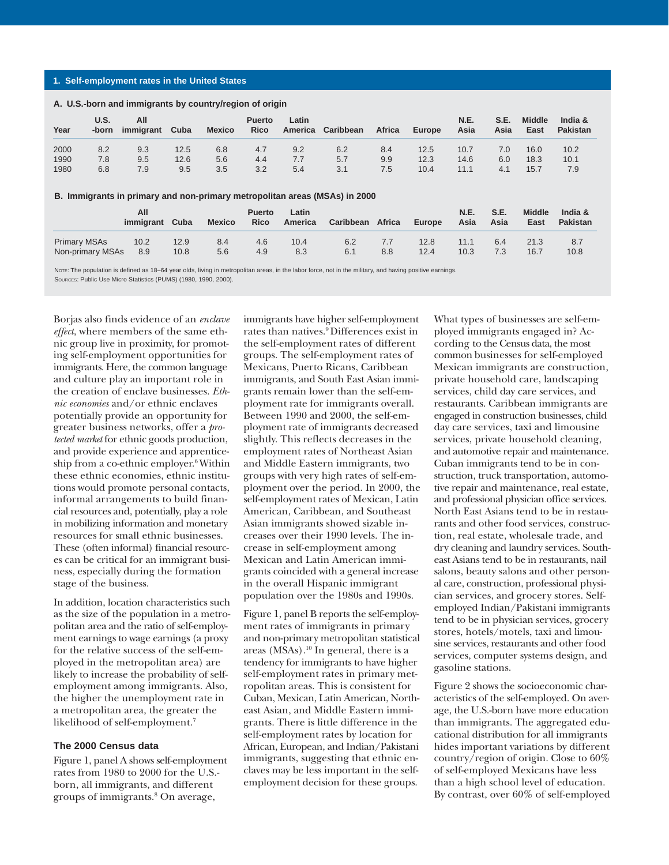### **1. Self-employment rates in the United States**

## **U.S. All Puerto Latin N.E. S.E. Middle India & Year -born immigrant Cuba Mexico Rico America Caribbean Africa Europe Asia Asia East Pakistan** 2000 8.2 9.3 12.5 6.8 4.7 9.2 6.2 8.4 12.5 10.7 7.0 16.0 10.2 1990 7.8 9.5 12.6 5.6 4.4 7.7 5.7 9.9 12.3 14.6 6.0 18.3 10.1 1980 6.8 7.9 9.5 3.5 3.2 5.4 3.1 7.5 10.4 11.1 4.1 15.7 7.9 **B. Immigrants in primary and non-primary metropolitan areas (MSAs) in 2000 A. U.S.-born and immigrants by country/region of origin**

|                     | All<br>immigrant | Cuba | <b>Mexico</b> | <b>Puerto</b><br><b>Rico</b> | Latin<br>America | Caribbean | Africa | Europe | <b>N.E.</b><br>Asia | <b>S.E.</b><br>Asia | <b>Middle</b><br>East | India &<br>Pakistan |
|---------------------|------------------|------|---------------|------------------------------|------------------|-----------|--------|--------|---------------------|---------------------|-----------------------|---------------------|
| <b>Primary MSAs</b> | 10.2             | 12.9 | 8.4           | 4.6                          | 10.4             | 6.2       | 7.7    | 12.8   | 11.1                | 6.4                 | 21.3                  | 8.7                 |
| Non-primary MSAs    | 8.9              | 10.8 | 5.6           | 4.9                          | 8.3              | 6.1       | 8.8    | 12.4   | 10.3                |                     | 16.7                  | 10.8                |

Nore: The population is defined as 18-64 year olds, living in metropolitan areas, in the labor force, not in the military, and having positive earnings SOURCES: Public Use Micro Statistics (PUMS) (1980, 1990, 2000).

Borjas also finds evidence of an *enclave effect*, where members of the same ethnic group live in proximity, for promoting self-employment opportunities for immigrants. Here, the common language and culture play an important role in the creation of enclave businesses. *Ethnic economies* and/or ethnic enclaves potentially provide an opportunity for greater business networks, offer a *protected market* for ethnic goods production, and provide experience and apprenticeship from a co-ethnic employer. $6$  Within these ethnic economies, ethnic institutions would promote personal contacts, informal arrangements to build financial resources and, potentially, play a role in mobilizing information and monetary resources for small ethnic businesses. These (often informal) financial resources can be critical for an immigrant business, especially during the formation stage of the business.

In addition, location characteristics such as the size of the population in a metropolitan area and the ratio of self-employment earnings to wage earnings (a proxy for the relative success of the self-employed in the metropolitan area) are likely to increase the probability of selfemployment among immigrants. Also, the higher the unemployment rate in a metropolitan area, the greater the likelihood of self-employment.7

## **The 2000 Census data**

Figure 1, panel A shows self-employment rates from 1980 to 2000 for the U.S. born, all immigrants, and different groups of immigrants.8 On average,

immigrants have higher self-employment rates than natives.9 Differences exist in the self-employment rates of different groups. The self-employment rates of Mexicans, Puerto Ricans, Caribbean immigrants, and South East Asian immigrants remain lower than the self-employment rate for immigrants overall. Between 1990 and 2000, the self-employment rate of immigrants decreased slightly. This reflects decreases in the employment rates of Northeast Asian and Middle Eastern immigrants, two groups with very high rates of self-employment over the period. In 2000, the self-employment rates of Mexican, Latin American, Caribbean, and Southeast Asian immigrants showed sizable increases over their 1990 levels. The increase in self-employment among Mexican and Latin American immigrants coincided with a general increase in the overall Hispanic immigrant population over the 1980s and 1990s.

Figure 1, panel B reports the self-employment rates of immigrants in primary and non-primary metropolitan statistical areas  $(MSAs)$ .<sup>10</sup> In general, there is a tendency for immigrants to have higher self-employment rates in primary metropolitan areas. This is consistent for Cuban, Mexican, Latin American, Northeast Asian, and Middle Eastern immigrants. There is little difference in the self-employment rates by location for African, European, and Indian/Pakistani immigrants, suggesting that ethnic enclaves may be less important in the selfemployment decision for these groups.

What types of businesses are self-employed immigrants engaged in? According to the Census data, the most common businesses for self-employed Mexican immigrants are construction, private household care, landscaping services, child day care services, and restaurants. Caribbean immigrants are engaged in construction businesses, child day care services, taxi and limousine services, private household cleaning, and automotive repair and maintenance. Cuban immigrants tend to be in construction, truck transportation, automotive repair and maintenance, real estate, and professional physician office services. North East Asians tend to be in restaurants and other food services, construction, real estate, wholesale trade, and dry cleaning and laundry services. Southeast Asians tend to be in restaurants, nail salons, beauty salons and other personal care, construction, professional physician services, and grocery stores. Selfemployed Indian/Pakistani immigrants tend to be in physician services, grocery stores, hotels/motels, taxi and limousine services, restaurants and other food services, computer systems design, and gasoline stations.

Figure 2 shows the socioeconomic characteristics of the self-employed. On average, the U.S.-born have more education than immigrants. The aggregated educational distribution for all immigrants hides important variations by different country/region of origin. Close to 60% of self-employed Mexicans have less than a high school level of education. By contrast, over 60% of self-employed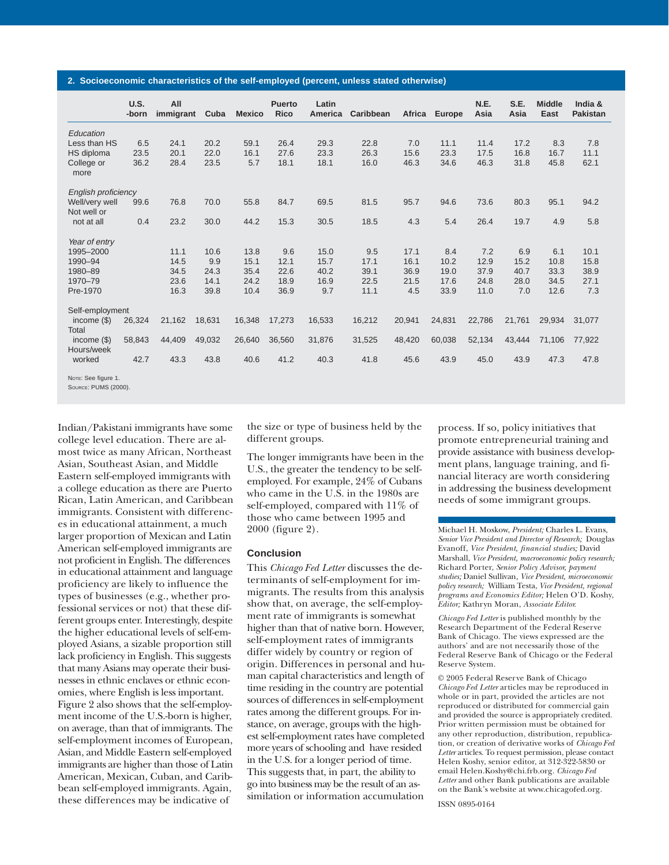#### **2. Socioeconomic characteristics of the self-employed (percent, unless stated otherwise)**

|                     | U.S.<br>-born | All<br>immigrant | Cuba   | <b>Mexico</b> | <b>Puerto</b><br><b>Rico</b> | Latin<br><b>America</b> | Caribbean | Africa | Europe | N.E.<br>Asia | S.E.<br>Asia | <b>Middle</b><br>East | India &<br><b>Pakistan</b> |
|---------------------|---------------|------------------|--------|---------------|------------------------------|-------------------------|-----------|--------|--------|--------------|--------------|-----------------------|----------------------------|
| Education           |               |                  |        |               |                              |                         |           |        |        |              |              |                       |                            |
|                     |               |                  |        |               |                              |                         |           |        |        |              |              |                       |                            |
| Less than HS        | 6.5           | 24.1             | 20.2   | 59.1          | 26.4                         | 29.3                    | 22.8      | 7.0    | 11.1   | 11.4         | 17.2         | 8.3                   | 7.8                        |
| HS diploma          | 23.5          | 20.1             | 22.0   | 16.1          | 27.6                         | 23.3                    | 26.3      | 15.6   | 23.3   | 17.5         | 16.8         | 16.7                  | 11.1                       |
| College or<br>more  | 36.2          | 28.4             | 23.5   | 5.7           | 18.1                         | 18.1                    | 16.0      | 46.3   | 34.6   | 46.3         | 31.8         | 45.8                  | 62.1                       |
| English proficiency |               |                  |        |               |                              |                         |           |        |        |              |              |                       |                            |
| Well/very well      | 99.6          | 76.8             | 70.0   | 55.8          | 84.7                         | 69.5                    | 81.5      | 95.7   | 94.6   | 73.6         | 80.3         | 95.1                  | 94.2                       |
| Not well or         |               |                  |        |               |                              |                         |           |        |        |              |              |                       |                            |
| not at all          | 0.4           | 23.2             | 30.0   | 44.2          | 15.3                         | 30.5                    | 18.5      | 4.3    | 5.4    | 26.4         | 19.7         | 4.9                   | 5.8                        |
| Year of entry       |               |                  |        |               |                              |                         |           |        |        |              |              |                       |                            |
| 1995-2000           |               | 11.1             | 10.6   | 13.8          | 9.6                          | 15.0                    | 9.5       | 17.1   | 8.4    | 7.2          | 6.9          | 6.1                   | 10.1                       |
| 1990-94             |               | 14.5             | 9.9    | 15.1          | 12.1                         | 15.7                    | 17.1      | 16.1   | 10.2   | 12.9         | 15.2         | 10.8                  | 15.8                       |
| 1980-89             |               | 34.5             | 24.3   | 35.4          | 22.6                         | 40.2                    | 39.1      | 36.9   | 19.0   | 37.9         | 40.7         | 33.3                  | 38.9                       |
| 1970-79             |               | 23.6             | 14.1   | 24.2          | 18.9                         | 16.9                    | 22.5      | 21.5   | 17.6   | 24.8         | 28.0         | 34.5                  | 27.1                       |
| Pre-1970            |               | 16.3             | 39.8   | 10.4          | 36.9                         | 9.7                     | 11.1      | 4.5    | 33.9   | 11.0         | 7.0          | 12.6                  | 7.3                        |
| Self-employment     |               |                  |        |               |                              |                         |           |        |        |              |              |                       |                            |
| income $(\$)$       | 26,324        | 21,162           | 18,631 | 16,348        | 17,273                       | 16,533                  | 16,212    | 20,941 | 24,831 | 22,786       | 21,761       | 29,934                | 31,077                     |
| Total               |               |                  |        |               |                              |                         |           |        |        |              |              |                       |                            |
| income $(S)$        | 58,843        | 44,409           | 49,032 | 26,640        | 36,560                       | 31,876                  | 31,525    | 48,420 | 60,038 | 52,134       | 43,444       | 71,106                | 77,922                     |
| Hours/week          |               |                  |        |               |                              |                         |           |        |        |              |              |                       |                            |
| worked              | 42.7          | 43.3             | 43.8   | 40.6          | 41.2                         | 40.3                    | 41.8      | 45.6   | 43.9   | 45.0         | 43.9         | 47.3                  | 47.8                       |
| NOTE: See figure 1. |               |                  |        |               |                              |                         |           |        |        |              |              |                       |                            |

SOURCE: PUMS (2000).

Indian/Pakistani immigrants have some college level education. There are almost twice as many African, Northeast Asian, Southeast Asian, and Middle Eastern self-employed immigrants with a college education as there are Puerto Rican, Latin American, and Caribbean immigrants. Consistent with differences in educational attainment, a much larger proportion of Mexican and Latin American self-employed immigrants are not proficient in English. The differences in educational attainment and language proficiency are likely to influence the types of businesses (e.g., whether professional services or not) that these different groups enter. Interestingly, despite the higher educational levels of self-employed Asians, a sizable proportion still lack proficiency in English. This suggests that many Asians may operate their businesses in ethnic enclaves or ethnic economies, where English is less important. Figure 2 also shows that the self-employment income of the U.S.-born is higher, on average, than that of immigrants. The self-employment incomes of European, Asian, and Middle Eastern self-employed immigrants are higher than those of Latin American, Mexican, Cuban, and Caribbean self-employed immigrants. Again, these differences may be indicative of

the size or type of business held by the different groups.

The longer immigrants have been in the U.S., the greater the tendency to be selfemployed. For example, 24% of Cubans who came in the U.S. in the 1980s are self-employed, compared with 11% of those who came between 1995 and 2000 (figure 2).

## **Conclusion**

This *Chicago Fed Letter* discusses the determinants of self-employment for immigrants. The results from this analysis show that, on average, the self-employment rate of immigrants is somewhat higher than that of native born. However, self-employment rates of immigrants differ widely by country or region of origin. Differences in personal and human capital characteristics and length of time residing in the country are potential sources of differences in self-employment rates among the different groups. For instance, on average, groups with the highest self-employment rates have completed more years of schooling and have resided in the U.S. for a longer period of time. This suggests that, in part, the ability to go into business may be the result of an assimilation or information accumulation

process. If so, policy initiatives that promote entrepreneurial training and provide assistance with business development plans, language training, and financial literacy are worth considering in addressing the business development needs of some immigrant groups.

Michael H. Moskow, *President;* Charles L. Evans, *Senior Vice President and Director of Research;* Douglas Evanoff, *Vice President, financial studies;* David Marshall, *Vice President, macroeconomic policy research;* Richard Porter, *Senior Policy Advisor, payment studies;* Daniel Sullivan*, Vice President, microeconomic policy research;* William Testa, *Vice President, regional programs and Economics Editor;* Helen O'D. Koshy, *Editor;* Kathryn Moran, *Associate Editor.*

*Chicago Fed Letter* is published monthly by the Research Department of the Federal Reserve Bank of Chicago. The views expressed are the authors' and are not necessarily those of the Federal Reserve Bank of Chicago or the Federal Reserve System.

© 2005 Federal Reserve Bank of Chicago *Chicago Fed Letter* articles may be reproduced in whole or in part, provided the articles are not reproduced or distributed for commercial gain and provided the source is appropriately credited. Prior written permission must be obtained for any other reproduction, distribution, republication, or creation of derivative works of *Chicago Fed Letter* articles. To request permission, please contact Helen Koshy, senior editor, at 312-322-5830 or email Helen.Koshy@chi.frb.org. *Chicago Fed Letter* and other Bank publications are available on the Bank's website at www.chicagofed.org.

ISSN 0895-0164